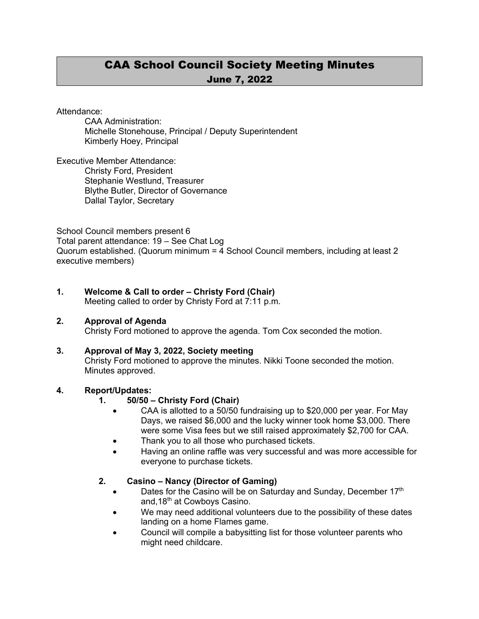# CAA School Council Society Meeting Minutes June 7, 2022

Attendance:

CAA Administration: Michelle Stonehouse, Principal / Deputy Superintendent Kimberly Hoey, Principal

Executive Member Attendance: Christy Ford, President Stephanie Westlund, Treasurer Blythe Butler, Director of Governance Dallal Taylor, Secretary

School Council members present 6 Total parent attendance: 19 – See Chat Log Quorum established. (Quorum minimum = 4 School Council members, including at least 2 executive members)

#### **1. Welcome & Call to order – Christy Ford (Chair)**

Meeting called to order by Christy Ford at 7:11 p.m.

#### **2. Approval of Agenda**

Christy Ford motioned to approve the agenda. Tom Cox seconded the motion.

#### **3. Approval of May 3, 2022, Society meeting**

Christy Ford motioned to approve the minutes. Nikki Toone seconded the motion. Minutes approved.

# **4. Report/Updates:**

### **1. 50/50 – Christy Ford (Chair)**

- CAA is allotted to a 50/50 fundraising up to \$20,000 per year. For May Days, we raised \$6,000 and the lucky winner took home \$3,000. There were some Visa fees but we still raised approximately \$2,700 for CAA.
- Thank you to all those who purchased tickets.
- Having an online raffle was very successful and was more accessible for everyone to purchase tickets.

### **2. Casino – Nancy (Director of Gaming)**

- Dates for the Casino will be on Saturday and Sunday, December 17<sup>th</sup> and,  $18<sup>th</sup>$  at Cowboys Casino.
- We may need additional volunteers due to the possibility of these dates landing on a home Flames game.
- Council will compile a babysitting list for those volunteer parents who might need childcare.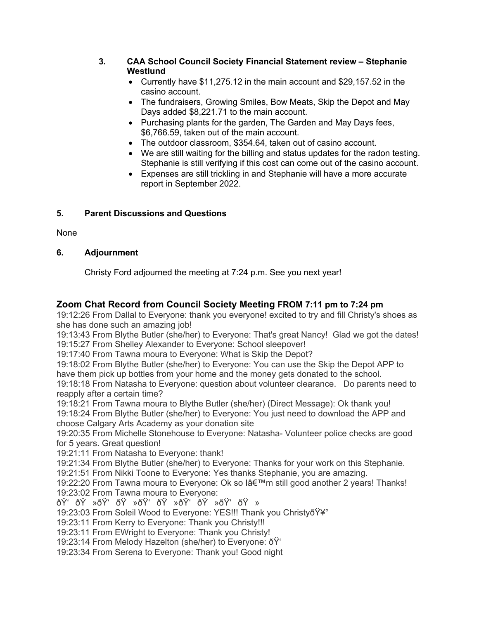#### **3. CAA School Council Society Financial Statement review – Stephanie Westlund**

- Currently have \$11,275.12 in the main account and \$29,157.52 in the casino account.
- The fundraisers, Growing Smiles, Bow Meats, Skip the Depot and May Days added \$8,221.71 to the main account.
- Purchasing plants for the garden, The Garden and May Days fees, \$6,766.59, taken out of the main account.
- The outdoor classroom, \$354.64, taken out of casino account.
- We are still waiting for the billing and status updates for the radon testing. Stephanie is still verifying if this cost can come out of the casino account.
- Expenses are still trickling in and Stephanie will have a more accurate report in September 2022.

# **5. Parent Discussions and Questions**

None

### **6. Adjournment**

Christy Ford adjourned the meeting at 7:24 p.m. See you next year!

# **Zoom Chat Record from Council Society Meeting FROM 7:11 pm to 7:24 pm**

19:12:26 From Dallal to Everyone: thank you everyone! excited to try and fill Christy's shoes as she has done such an amazing job!

19:13:43 From Blythe Butler (she/her) to Everyone: That's great Nancy! Glad we got the dates! 19:15:27 From Shelley Alexander to Everyone: School sleepover!

19:17:40 From Tawna moura to Everyone: What is Skip the Depot?

19:18:02 From Blythe Butler (she/her) to Everyone: You can use the Skip the Depot APP to have them pick up bottles from your home and the money gets donated to the school.

19:18:18 From Natasha to Everyone: question about volunteer clearance. Do parents need to reapply after a certain time?

19:18:21 From Tawna moura to Blythe Butler (she/her) (Direct Message): Ok thank you! 19:18:24 From Blythe Butler (she/her) to Everyone: You just need to download the APP and choose Calgary Arts Academy as your donation site

19:20:35 From Michelle Stonehouse to Everyone: Natasha- Volunteer police checks are good for 5 years. Great question!

19:21:11 From Natasha to Everyone: thank!

19:21:34 From Blythe Butler (she/her) to Everyone: Thanks for your work on this Stephanie.

19:21:51 From Nikki Toone to Everyone: Yes thanks Stephanie, you are amazing.

19:22:20 From Tawna moura to Everyone: Ok so l'm still good another 2 years! Thanks! 19:23:02 From Tawna moura to Everyone:

ðŸ'ðŸ»ðŸ'ðŸ»ðŸ'ðŸ»ðŸ'ðŸ»ðŸ'ðŸ»

19:23:03 From Soleil Wood to Everyone: YES!!! Thank you Christyo Y¥°

19:23:11 From Kerry to Everyone: Thank you Christy!!!

19:23:11 From EWright to Everyone: Thank you Christy!

19:23:14 From Melody Hazelton (she/her) to Everyone: ðŸ'

19:23:34 From Serena to Everyone: Thank you! Good night